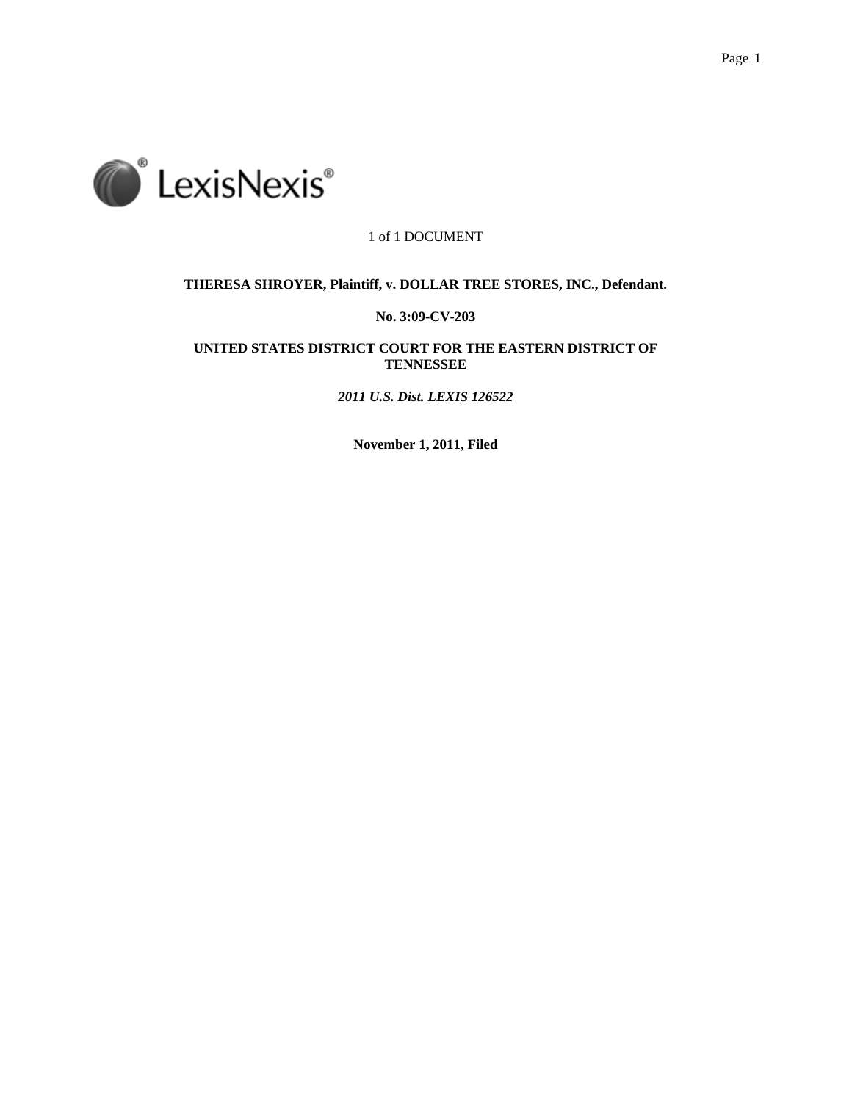



1 of 1 DOCUMENT

# **THERESA SHROYER, Plaintiff, v. DOLLAR TREE STORES, INC., Defendant.**

# **No. 3:09-CV-203**

# **UNITED STATES DISTRICT COURT FOR THE EASTERN DISTRICT OF TENNESSEE**

*2011 U.S. Dist. LEXIS 126522*

**November 1, 2011, Filed**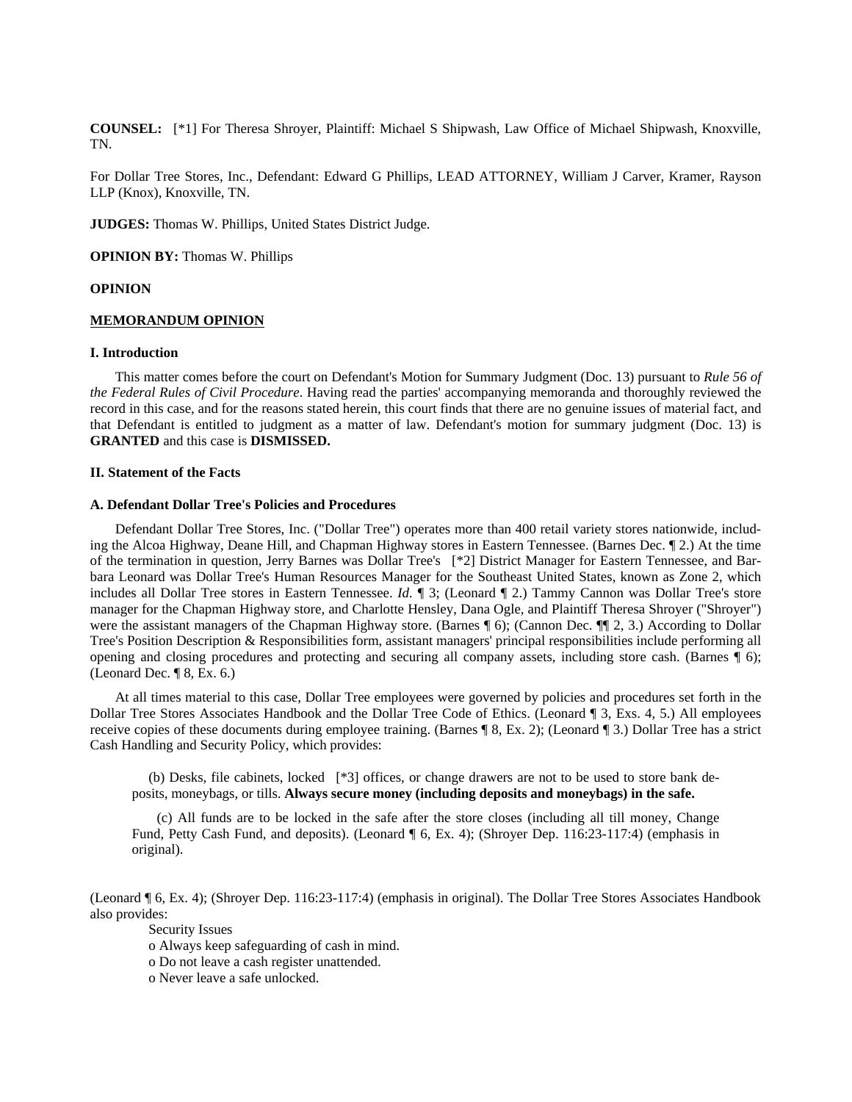**COUNSEL:** [\*1] For Theresa Shroyer, Plaintiff: Michael S Shipwash, Law Office of Michael Shipwash, Knoxville, TN.

For Dollar Tree Stores, Inc., Defendant: Edward G Phillips, LEAD ATTORNEY, William J Carver, Kramer, Rayson LLP (Knox), Knoxville, TN.

**JUDGES:** Thomas W. Phillips, United States District Judge.

**OPINION BY:** Thomas W. Phillips

#### **OPINION**

# **MEMORANDUM OPINION**

# **I. Introduction**

This matter comes before the court on Defendant's Motion for Summary Judgment (Doc. 13) pursuant to *Rule 56 of the Federal Rules of Civil Procedure*. Having read the parties' accompanying memoranda and thoroughly reviewed the record in this case, and for the reasons stated herein, this court finds that there are no genuine issues of material fact, and that Defendant is entitled to judgment as a matter of law. Defendant's motion for summary judgment (Doc. 13) is **GRANTED** and this case is **DISMISSED.**

#### **II. Statement of the Facts**

# **A. Defendant Dollar Tree's Policies and Procedures**

Defendant Dollar Tree Stores, Inc. ("Dollar Tree") operates more than 400 retail variety stores nationwide, including the Alcoa Highway, Deane Hill, and Chapman Highway stores in Eastern Tennessee. (Barnes Dec. ¶ 2.) At the time of the termination in question, Jerry Barnes was Dollar Tree's [\*2] District Manager for Eastern Tennessee, and Barbara Leonard was Dollar Tree's Human Resources Manager for the Southeast United States, known as Zone 2, which includes all Dollar Tree stores in Eastern Tennessee. *Id.* ¶ 3; (Leonard ¶ 2.) Tammy Cannon was Dollar Tree's store manager for the Chapman Highway store, and Charlotte Hensley, Dana Ogle, and Plaintiff Theresa Shroyer ("Shroyer") were the assistant managers of the Chapman Highway store. (Barnes ¶ 6); (Cannon Dec. ¶¶ 2, 3.) According to Dollar Tree's Position Description & Responsibilities form, assistant managers' principal responsibilities include performing all opening and closing procedures and protecting and securing all company assets, including store cash. (Barnes ¶ 6); (Leonard Dec. ¶ 8, Ex. 6.)

At all times material to this case, Dollar Tree employees were governed by policies and procedures set forth in the Dollar Tree Stores Associates Handbook and the Dollar Tree Code of Ethics. (Leonard ¶ 3, Exs. 4, 5.) All employees receive copies of these documents during employee training. (Barnes ¶ 8, Ex. 2); (Leonard ¶ 3.) Dollar Tree has a strict Cash Handling and Security Policy, which provides:

 (b) Desks, file cabinets, locked [\*3] offices, or change drawers are not to be used to store bank deposits, moneybags, or tills. **Always secure money (including deposits and moneybags) in the safe.**

(c) All funds are to be locked in the safe after the store closes (including all till money, Change Fund, Petty Cash Fund, and deposits). (Leonard ¶ 6, Ex. 4); (Shroyer Dep. 116:23-117:4) (emphasis in original).

(Leonard ¶ 6, Ex. 4); (Shroyer Dep. 116:23-117:4) (emphasis in original). The Dollar Tree Stores Associates Handbook also provides:

Security Issues

o Always keep safeguarding of cash in mind.

o Do not leave a cash register unattended.

o Never leave a safe unlocked.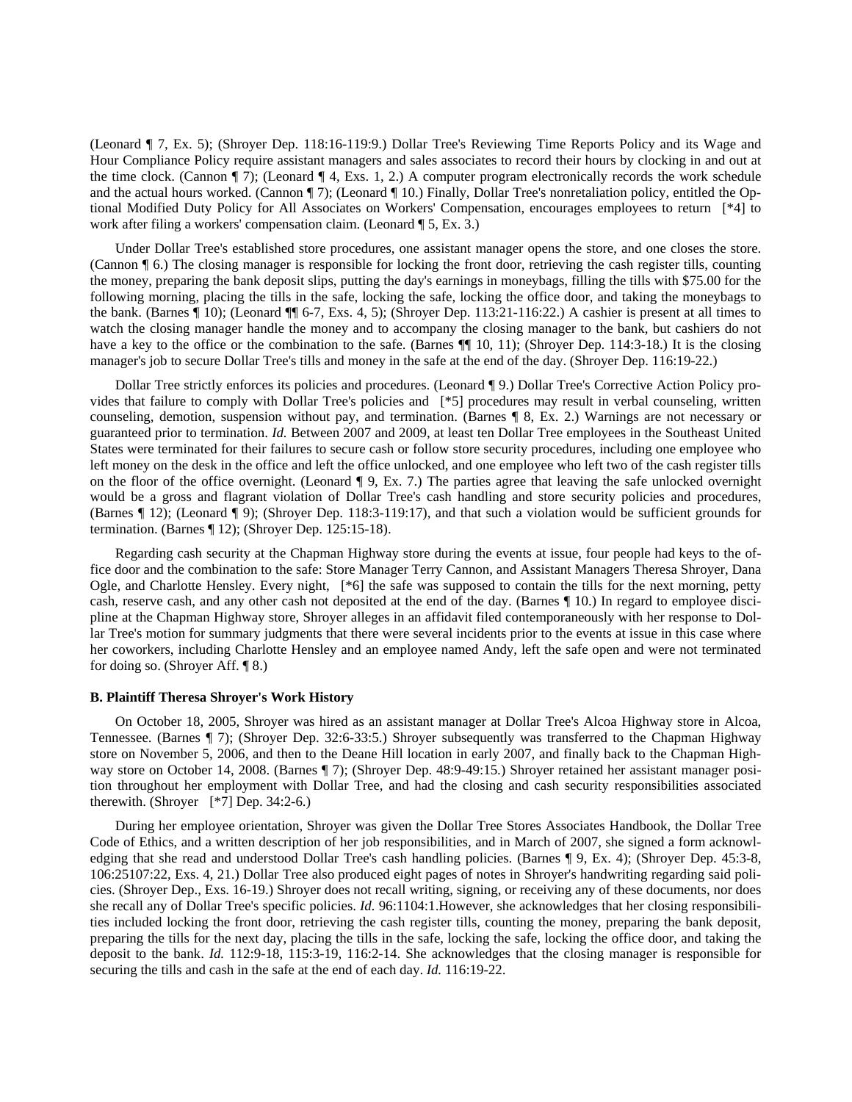(Leonard ¶ 7, Ex. 5); (Shroyer Dep. 118:16-119:9.) Dollar Tree's Reviewing Time Reports Policy and its Wage and Hour Compliance Policy require assistant managers and sales associates to record their hours by clocking in and out at the time clock. (Cannon  $\P$  7); (Leonard  $\P$  4, Exs. 1, 2.) A computer program electronically records the work schedule and the actual hours worked. (Cannon ¶ 7); (Leonard ¶ 10.) Finally, Dollar Tree's nonretaliation policy, entitled the Optional Modified Duty Policy for All Associates on Workers' Compensation, encourages employees to return [\*4] to work after filing a workers' compensation claim. (Leonard ¶ 5, Ex. 3.)

Under Dollar Tree's established store procedures, one assistant manager opens the store, and one closes the store. (Cannon ¶ 6.) The closing manager is responsible for locking the front door, retrieving the cash register tills, counting the money, preparing the bank deposit slips, putting the day's earnings in moneybags, filling the tills with \$75.00 for the following morning, placing the tills in the safe, locking the safe, locking the office door, and taking the moneybags to the bank. (Barnes ¶ 10); (Leonard ¶¶ 6-7, Exs. 4, 5); (Shroyer Dep. 113:21-116:22.) A cashier is present at all times to watch the closing manager handle the money and to accompany the closing manager to the bank, but cashiers do not have a key to the office or the combination to the safe. (Barnes ¶ 10, 11); (Shroyer Dep. 114:3-18.) It is the closing manager's job to secure Dollar Tree's tills and money in the safe at the end of the day. (Shroyer Dep. 116:19-22.)

Dollar Tree strictly enforces its policies and procedures. (Leonard ¶ 9.) Dollar Tree's Corrective Action Policy provides that failure to comply with Dollar Tree's policies and [\*5] procedures may result in verbal counseling, written counseling, demotion, suspension without pay, and termination. (Barnes ¶ 8, Ex. 2.) Warnings are not necessary or guaranteed prior to termination. *Id.* Between 2007 and 2009, at least ten Dollar Tree employees in the Southeast United States were terminated for their failures to secure cash or follow store security procedures, including one employee who left money on the desk in the office and left the office unlocked, and one employee who left two of the cash register tills on the floor of the office overnight. (Leonard ¶ 9, Ex. 7.) The parties agree that leaving the safe unlocked overnight would be a gross and flagrant violation of Dollar Tree's cash handling and store security policies and procedures, (Barnes ¶ 12); (Leonard ¶ 9); (Shroyer Dep. 118:3-119:17), and that such a violation would be sufficient grounds for termination. (Barnes ¶ 12); (Shroyer Dep. 125:15-18).

Regarding cash security at the Chapman Highway store during the events at issue, four people had keys to the office door and the combination to the safe: Store Manager Terry Cannon, and Assistant Managers Theresa Shroyer, Dana Ogle, and Charlotte Hensley. Every night, [\*6] the safe was supposed to contain the tills for the next morning, petty cash, reserve cash, and any other cash not deposited at the end of the day. (Barnes ¶ 10.) In regard to employee discipline at the Chapman Highway store, Shroyer alleges in an affidavit filed contemporaneously with her response to Dollar Tree's motion for summary judgments that there were several incidents prior to the events at issue in this case where her coworkers, including Charlotte Hensley and an employee named Andy, left the safe open and were not terminated for doing so. (Shroyer Aff. ¶ 8.)

#### **B. Plaintiff Theresa Shroyer's Work History**

On October 18, 2005, Shroyer was hired as an assistant manager at Dollar Tree's Alcoa Highway store in Alcoa, Tennessee. (Barnes ¶ 7); (Shroyer Dep. 32:6-33:5.) Shroyer subsequently was transferred to the Chapman Highway store on November 5, 2006, and then to the Deane Hill location in early 2007, and finally back to the Chapman Highway store on October 14, 2008. (Barnes ¶ 7); (Shroyer Dep. 48:9-49:15.) Shroyer retained her assistant manager position throughout her employment with Dollar Tree, and had the closing and cash security responsibilities associated therewith. (Shroyer [\*7] Dep. 34:2-6.)

During her employee orientation, Shroyer was given the Dollar Tree Stores Associates Handbook, the Dollar Tree Code of Ethics, and a written description of her job responsibilities, and in March of 2007, she signed a form acknowledging that she read and understood Dollar Tree's cash handling policies. (Barnes ¶ 9, Ex. 4); (Shroyer Dep. 45:3-8, 106:25107:22, Exs. 4, 21.) Dollar Tree also produced eight pages of notes in Shroyer's handwriting regarding said policies. (Shroyer Dep., Exs. 16-19.) Shroyer does not recall writing, signing, or receiving any of these documents, nor does she recall any of Dollar Tree's specific policies. *Id.* 96:1104:1.However, she acknowledges that her closing responsibilities included locking the front door, retrieving the cash register tills, counting the money, preparing the bank deposit, preparing the tills for the next day, placing the tills in the safe, locking the safe, locking the office door, and taking the deposit to the bank. *Id.* 112:9-18, 115:3-19, 116:2-14. She acknowledges that the closing manager is responsible for securing the tills and cash in the safe at the end of each day. *Id.* 116:19-22.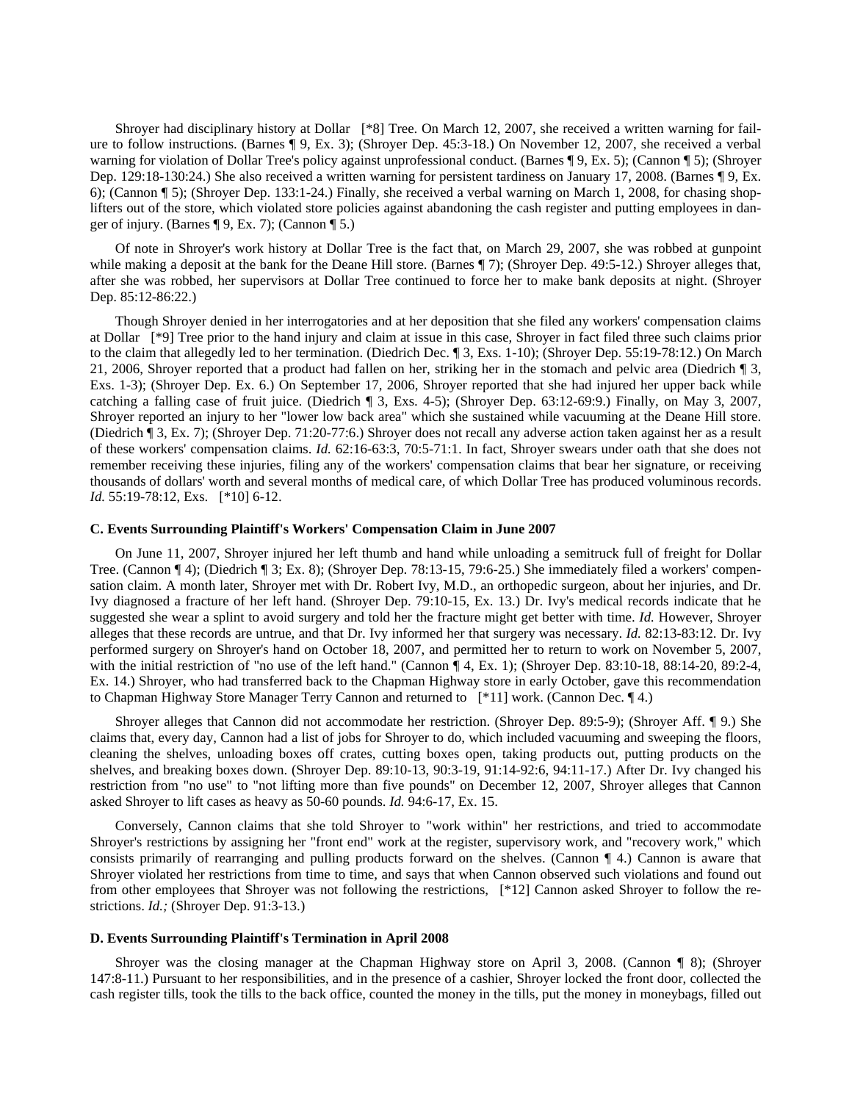Shroyer had disciplinary history at Dollar [\*8] Tree. On March 12, 2007, she received a written warning for failure to follow instructions. (Barnes ¶ 9, Ex. 3); (Shroyer Dep. 45:3-18.) On November 12, 2007, she received a verbal warning for violation of Dollar Tree's policy against unprofessional conduct. (Barnes ¶ 9, Ex. 5); (Cannon ¶ 5); (Shroyer Dep. 129:18-130:24.) She also received a written warning for persistent tardiness on January 17, 2008. (Barnes ¶ 9, Ex. 6); (Cannon ¶ 5); (Shroyer Dep. 133:1-24.) Finally, she received a verbal warning on March 1, 2008, for chasing shoplifters out of the store, which violated store policies against abandoning the cash register and putting employees in danger of injury. (Barnes  $\P$  9, Ex. 7); (Cannon  $\P$  5.)

Of note in Shroyer's work history at Dollar Tree is the fact that, on March 29, 2007, she was robbed at gunpoint while making a deposit at the bank for the Deane Hill store. (Barnes ¶ 7); (Shroyer Dep. 49:5-12.) Shroyer alleges that, after she was robbed, her supervisors at Dollar Tree continued to force her to make bank deposits at night. (Shroyer Dep. 85:12-86:22.)

Though Shroyer denied in her interrogatories and at her deposition that she filed any workers' compensation claims at Dollar [\*9] Tree prior to the hand injury and claim at issue in this case, Shroyer in fact filed three such claims prior to the claim that allegedly led to her termination. (Diedrich Dec. ¶ 3, Exs. 1-10); (Shroyer Dep. 55:19-78:12.) On March 21, 2006, Shroyer reported that a product had fallen on her, striking her in the stomach and pelvic area (Diedrich ¶ 3, Exs. 1-3); (Shroyer Dep. Ex. 6.) On September 17, 2006, Shroyer reported that she had injured her upper back while catching a falling case of fruit juice. (Diedrich ¶ 3, Exs. 4-5); (Shroyer Dep. 63:12-69:9.) Finally, on May 3, 2007, Shroyer reported an injury to her "lower low back area" which she sustained while vacuuming at the Deane Hill store. (Diedrich ¶ 3, Ex. 7); (Shroyer Dep. 71:20-77:6.) Shroyer does not recall any adverse action taken against her as a result of these workers' compensation claims. *Id.* 62:16-63:3, 70:5-71:1. In fact, Shroyer swears under oath that she does not remember receiving these injuries, filing any of the workers' compensation claims that bear her signature, or receiving thousands of dollars' worth and several months of medical care, of which Dollar Tree has produced voluminous records. *Id.* 55:19-78:12, Exs. [\*10] 6-12.

# **C. Events Surrounding Plaintiff's Workers' Compensation Claim in June 2007**

On June 11, 2007, Shroyer injured her left thumb and hand while unloading a semitruck full of freight for Dollar Tree. (Cannon ¶ 4); (Diedrich ¶ 3; Ex. 8); (Shroyer Dep. 78:13-15, 79:6-25.) She immediately filed a workers' compensation claim. A month later, Shroyer met with Dr. Robert Ivy, M.D., an orthopedic surgeon, about her injuries, and Dr. Ivy diagnosed a fracture of her left hand. (Shroyer Dep. 79:10-15, Ex. 13.) Dr. Ivy's medical records indicate that he suggested she wear a splint to avoid surgery and told her the fracture might get better with time. *Id.* However, Shroyer alleges that these records are untrue, and that Dr. Ivy informed her that surgery was necessary. *Id.* 82:13-83:12. Dr. Ivy performed surgery on Shroyer's hand on October 18, 2007, and permitted her to return to work on November 5, 2007, with the initial restriction of "no use of the left hand." (Cannon ¶ 4, Ex. 1); (Shroyer Dep. 83:10-18, 88:14-20, 89:2-4, Ex. 14.) Shroyer, who had transferred back to the Chapman Highway store in early October, gave this recommendation to Chapman Highway Store Manager Terry Cannon and returned to [\*11] work. (Cannon Dec. ¶ 4.)

Shroyer alleges that Cannon did not accommodate her restriction. (Shroyer Dep. 89:5-9); (Shroyer Aff. ¶ 9.) She claims that, every day, Cannon had a list of jobs for Shroyer to do, which included vacuuming and sweeping the floors, cleaning the shelves, unloading boxes off crates, cutting boxes open, taking products out, putting products on the shelves, and breaking boxes down. (Shroyer Dep. 89:10-13, 90:3-19, 91:14-92:6, 94:11-17.) After Dr. Ivy changed his restriction from "no use" to "not lifting more than five pounds" on December 12, 2007, Shroyer alleges that Cannon asked Shroyer to lift cases as heavy as 50-60 pounds. *Id.* 94:6-17, Ex. 15.

Conversely, Cannon claims that she told Shroyer to "work within" her restrictions, and tried to accommodate Shroyer's restrictions by assigning her "front end" work at the register, supervisory work, and "recovery work," which consists primarily of rearranging and pulling products forward on the shelves. (Cannon ¶ 4.) Cannon is aware that Shroyer violated her restrictions from time to time, and says that when Cannon observed such violations and found out from other employees that Shroyer was not following the restrictions, [\*12] Cannon asked Shroyer to follow the restrictions. *Id.;* (Shroyer Dep. 91:3-13.)

#### **D. Events Surrounding Plaintiff's Termination in April 2008**

Shroyer was the closing manager at the Chapman Highway store on April 3, 2008. (Cannon ¶ 8); (Shroyer 147:8-11.) Pursuant to her responsibilities, and in the presence of a cashier, Shroyer locked the front door, collected the cash register tills, took the tills to the back office, counted the money in the tills, put the money in moneybags, filled out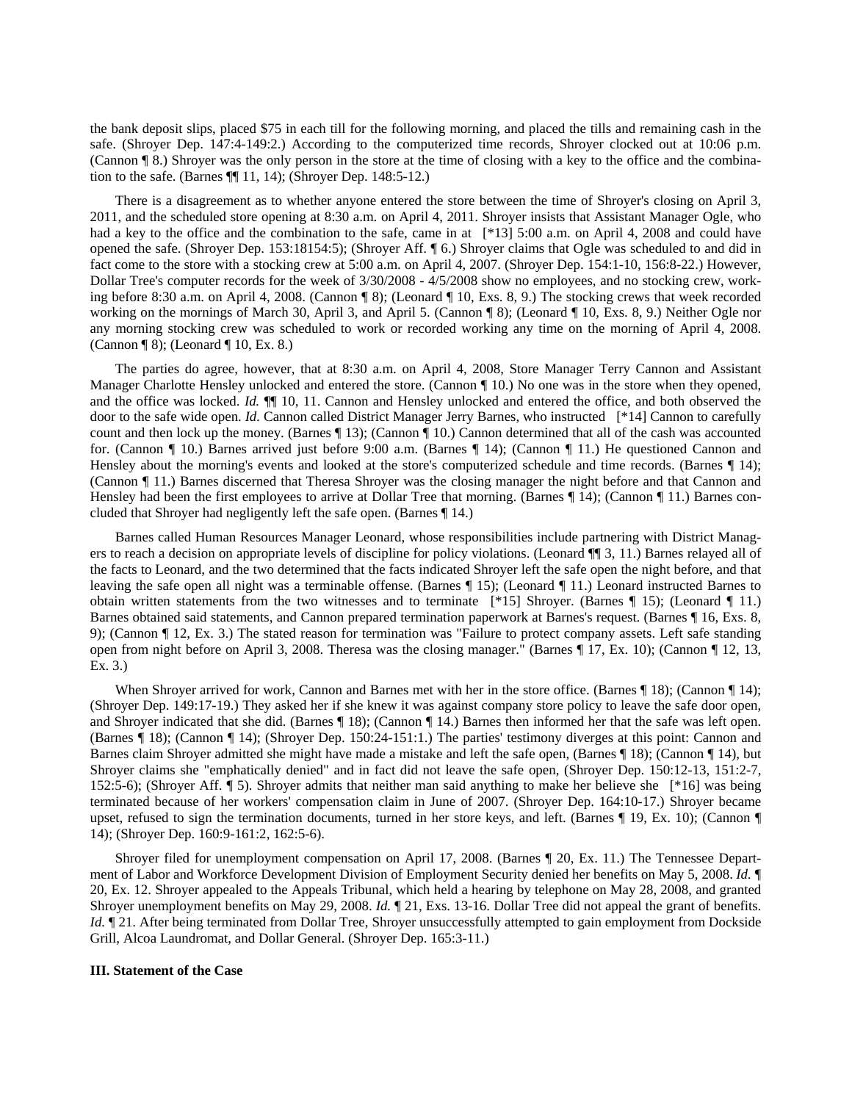the bank deposit slips, placed \$75 in each till for the following morning, and placed the tills and remaining cash in the safe. (Shroyer Dep. 147:4-149:2.) According to the computerized time records, Shroyer clocked out at 10:06 p.m. (Cannon ¶ 8.) Shroyer was the only person in the store at the time of closing with a key to the office and the combination to the safe. (Barnes ¶¶ 11, 14); (Shroyer Dep. 148:5-12.)

There is a disagreement as to whether anyone entered the store between the time of Shroyer's closing on April 3, 2011, and the scheduled store opening at 8:30 a.m. on April 4, 2011. Shroyer insists that Assistant Manager Ogle, who had a key to the office and the combination to the safe, came in at  $[*13]$  5:00 a.m. on April 4, 2008 and could have opened the safe. (Shroyer Dep. 153:18154:5); (Shroyer Aff. ¶ 6.) Shroyer claims that Ogle was scheduled to and did in fact come to the store with a stocking crew at 5:00 a.m. on April 4, 2007. (Shroyer Dep. 154:1-10, 156:8-22.) However, Dollar Tree's computer records for the week of  $3/30/2008 - 4/5/2008$  show no employees, and no stocking crew, working before 8:30 a.m. on April 4, 2008. (Cannon ¶ 8); (Leonard ¶ 10, Exs. 8, 9.) The stocking crews that week recorded working on the mornings of March 30, April 3, and April 5. (Cannon ¶ 8); (Leonard ¶ 10, Exs. 8, 9.) Neither Ogle nor any morning stocking crew was scheduled to work or recorded working any time on the morning of April 4, 2008. (Cannon ¶ 8); (Leonard ¶ 10, Ex. 8.)

The parties do agree, however, that at 8:30 a.m. on April 4, 2008, Store Manager Terry Cannon and Assistant Manager Charlotte Hensley unlocked and entered the store. (Cannon ¶ 10.) No one was in the store when they opened, and the office was locked. *Id.*  $\P$  10, 11. Cannon and Hensley unlocked and entered the office, and both observed the door to the safe wide open. *Id.* Cannon called District Manager Jerry Barnes, who instructed [\*14] Cannon to carefully count and then lock up the money. (Barnes ¶ 13); (Cannon ¶ 10.) Cannon determined that all of the cash was accounted for. (Cannon ¶ 10.) Barnes arrived just before 9:00 a.m. (Barnes ¶ 14); (Cannon ¶ 11.) He questioned Cannon and Hensley about the morning's events and looked at the store's computerized schedule and time records. (Barnes ¶ 14); (Cannon ¶ 11.) Barnes discerned that Theresa Shroyer was the closing manager the night before and that Cannon and Hensley had been the first employees to arrive at Dollar Tree that morning. (Barnes ¶ 14); (Cannon ¶ 11.) Barnes concluded that Shroyer had negligently left the safe open. (Barnes ¶ 14.)

Barnes called Human Resources Manager Leonard, whose responsibilities include partnering with District Managers to reach a decision on appropriate levels of discipline for policy violations. (Leonard ¶¶ 3, 11.) Barnes relayed all of the facts to Leonard, and the two determined that the facts indicated Shroyer left the safe open the night before, and that leaving the safe open all night was a terminable offense. (Barnes ¶ 15); (Leonard ¶ 11.) Leonard instructed Barnes to obtain written statements from the two witnesses and to terminate  $[ *15]$  Shroyer. (Barnes  $\parallel$  15); (Leonard  $\parallel$  11.) Barnes obtained said statements, and Cannon prepared termination paperwork at Barnes's request. (Barnes ¶ 16, Exs. 8, 9); (Cannon ¶ 12, Ex. 3.) The stated reason for termination was "Failure to protect company assets. Left safe standing open from night before on April 3, 2008. Theresa was the closing manager." (Barnes ¶ 17, Ex. 10); (Cannon ¶ 12, 13, Ex. 3.)

When Shroyer arrived for work, Cannon and Barnes met with her in the store office. (Barnes ¶ 18); (Cannon ¶ 14); (Shroyer Dep. 149:17-19.) They asked her if she knew it was against company store policy to leave the safe door open, and Shroyer indicated that she did. (Barnes ¶ 18); (Cannon ¶ 14.) Barnes then informed her that the safe was left open. (Barnes ¶ 18); (Cannon ¶ 14); (Shroyer Dep. 150:24-151:1.) The parties' testimony diverges at this point: Cannon and Barnes claim Shroyer admitted she might have made a mistake and left the safe open, (Barnes ¶ 18); (Cannon ¶ 14), but Shroyer claims she "emphatically denied" and in fact did not leave the safe open, (Shroyer Dep. 150:12-13, 151:2-7, 152:5-6); (Shroyer Aff. ¶ 5). Shroyer admits that neither man said anything to make her believe she [\*16] was being terminated because of her workers' compensation claim in June of 2007. (Shroyer Dep. 164:10-17.) Shroyer became upset, refused to sign the termination documents, turned in her store keys, and left. (Barnes ¶ 19, Ex. 10); (Cannon ¶ 14); (Shroyer Dep. 160:9-161:2, 162:5-6).

Shroyer filed for unemployment compensation on April 17, 2008. (Barnes ¶ 20, Ex. 11.) The Tennessee Department of Labor and Workforce Development Division of Employment Security denied her benefits on May 5, 2008. *Id.* ¶ 20, Ex. 12. Shroyer appealed to the Appeals Tribunal, which held a hearing by telephone on May 28, 2008, and granted Shroyer unemployment benefits on May 29, 2008. *Id.* ¶ 21, Exs. 13-16. Dollar Tree did not appeal the grant of benefits. *Id.*  $\P$  21. After being terminated from Dollar Tree, Shroyer unsuccessfully attempted to gain employment from Dockside Grill, Alcoa Laundromat, and Dollar General. (Shroyer Dep. 165:3-11.)

## **III. Statement of the Case**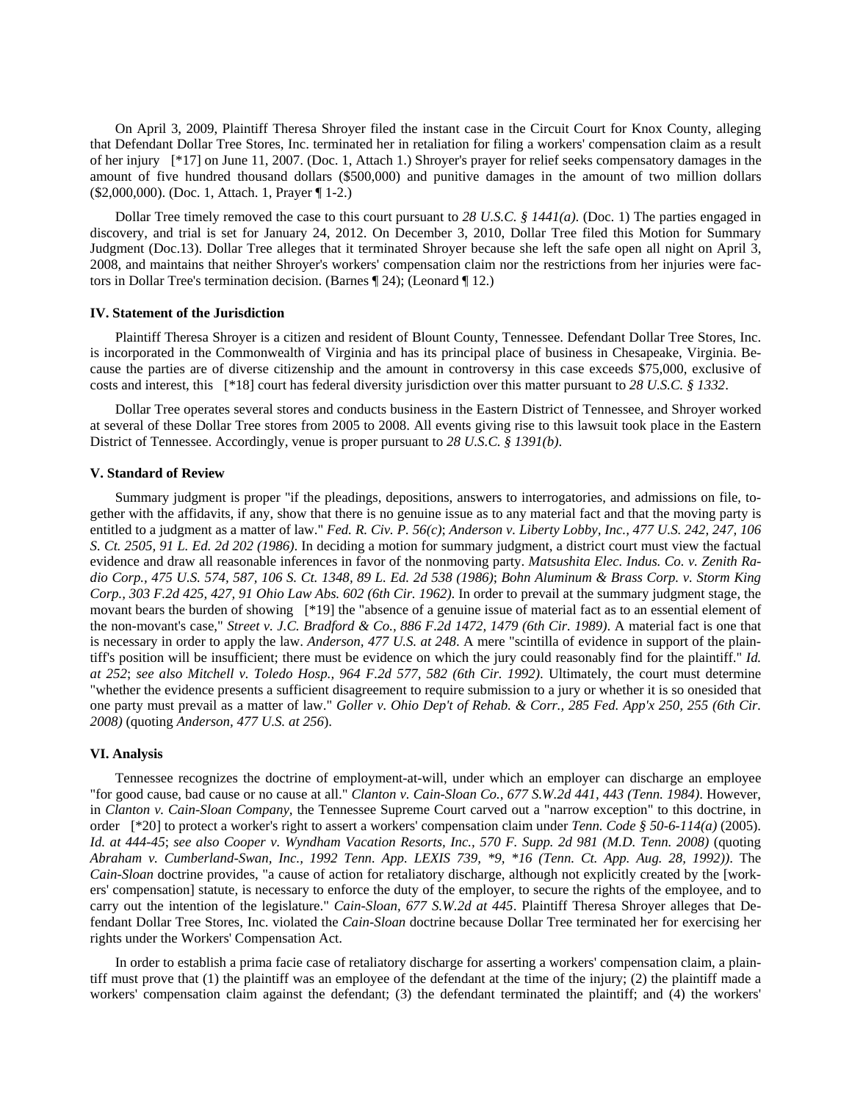On April 3, 2009, Plaintiff Theresa Shroyer filed the instant case in the Circuit Court for Knox County, alleging that Defendant Dollar Tree Stores, Inc. terminated her in retaliation for filing a workers' compensation claim as a result of her injury [\*17] on June 11, 2007. (Doc. 1, Attach 1.) Shroyer's prayer for relief seeks compensatory damages in the amount of five hundred thousand dollars (\$500,000) and punitive damages in the amount of two million dollars (\$2,000,000). (Doc. 1, Attach. 1, Prayer ¶ 1-2.)

Dollar Tree timely removed the case to this court pursuant to *28 U.S.C. § 1441(a)*. (Doc. 1) The parties engaged in discovery, and trial is set for January 24, 2012. On December 3, 2010, Dollar Tree filed this Motion for Summary Judgment (Doc.13). Dollar Tree alleges that it terminated Shroyer because she left the safe open all night on April 3, 2008, and maintains that neither Shroyer's workers' compensation claim nor the restrictions from her injuries were factors in Dollar Tree's termination decision. (Barnes ¶ 24); (Leonard ¶ 12.)

# **IV. Statement of the Jurisdiction**

Plaintiff Theresa Shroyer is a citizen and resident of Blount County, Tennessee. Defendant Dollar Tree Stores, Inc. is incorporated in the Commonwealth of Virginia and has its principal place of business in Chesapeake, Virginia. Because the parties are of diverse citizenship and the amount in controversy in this case exceeds \$75,000, exclusive of costs and interest, this [\*18] court has federal diversity jurisdiction over this matter pursuant to *28 U.S.C. § 1332*.

Dollar Tree operates several stores and conducts business in the Eastern District of Tennessee, and Shroyer worked at several of these Dollar Tree stores from 2005 to 2008. All events giving rise to this lawsuit took place in the Eastern District of Tennessee. Accordingly, venue is proper pursuant to *28 U.S.C. § 1391(b)*.

#### **V. Standard of Review**

Summary judgment is proper "if the pleadings, depositions, answers to interrogatories, and admissions on file, together with the affidavits, if any, show that there is no genuine issue as to any material fact and that the moving party is entitled to a judgment as a matter of law." *Fed. R. Civ. P. 56(c)*; *Anderson v. Liberty Lobby, Inc., 477 U.S. 242, 247, 106 S. Ct. 2505, 91 L. Ed. 2d 202 (1986)*. In deciding a motion for summary judgment, a district court must view the factual evidence and draw all reasonable inferences in favor of the nonmoving party. *Matsushita Elec. Indus. Co. v. Zenith Radio Corp., 475 U.S. 574, 587, 106 S. Ct. 1348, 89 L. Ed. 2d 538 (1986)*; *Bohn Aluminum & Brass Corp. v. Storm King Corp., 303 F.2d 425, 427, 91 Ohio Law Abs. 602 (6th Cir. 1962)*. In order to prevail at the summary judgment stage, the movant bears the burden of showing [\*19] the "absence of a genuine issue of material fact as to an essential element of the non-movant's case," *Street v. J.C. Bradford & Co., 886 F.2d 1472, 1479 (6th Cir. 1989)*. A material fact is one that is necessary in order to apply the law. *Anderson, 477 U.S. at 248*. A mere "scintilla of evidence in support of the plaintiff's position will be insufficient; there must be evidence on which the jury could reasonably find for the plaintiff." *Id. at 252*; *see also Mitchell v. Toledo Hosp., 964 F.2d 577, 582 (6th Cir. 1992)*. Ultimately, the court must determine "whether the evidence presents a sufficient disagreement to require submission to a jury or whether it is so onesided that one party must prevail as a matter of law." *Goller v. Ohio Dep't of Rehab. & Corr., 285 Fed. App'x 250, 255 (6th Cir. 2008)* (quoting *Anderson, 477 U.S. at 256*).

## **VI. Analysis**

Tennessee recognizes the doctrine of employment-at-will, under which an employer can discharge an employee "for good cause, bad cause or no cause at all." *Clanton v. Cain-Sloan Co., 677 S.W.2d 441, 443 (Tenn. 1984)*. However, in *Clanton v. Cain-Sloan Company,* the Tennessee Supreme Court carved out a "narrow exception" to this doctrine, in order [\*20] to protect a worker's right to assert a workers' compensation claim under *Tenn. Code § 50-6-114(a)* (2005). *Id. at 444-45*; *see also Cooper v. Wyndham Vacation Resorts, Inc., 570 F. Supp. 2d 981 (M.D. Tenn. 2008)* (quoting *Abraham v. Cumberland-Swan, Inc., 1992 Tenn. App. LEXIS 739, \*9, \*16 (Tenn. Ct. App. Aug. 28, 1992))*. The *Cain-Sloan* doctrine provides, "a cause of action for retaliatory discharge, although not explicitly created by the [workers' compensation] statute, is necessary to enforce the duty of the employer, to secure the rights of the employee, and to carry out the intention of the legislature." *Cain-Sloan, 677 S.W.2d at 445*. Plaintiff Theresa Shroyer alleges that Defendant Dollar Tree Stores, Inc. violated the *Cain-Sloan* doctrine because Dollar Tree terminated her for exercising her rights under the Workers' Compensation Act.

In order to establish a prima facie case of retaliatory discharge for asserting a workers' compensation claim, a plaintiff must prove that (1) the plaintiff was an employee of the defendant at the time of the injury; (2) the plaintiff made a workers' compensation claim against the defendant; (3) the defendant terminated the plaintiff; and (4) the workers'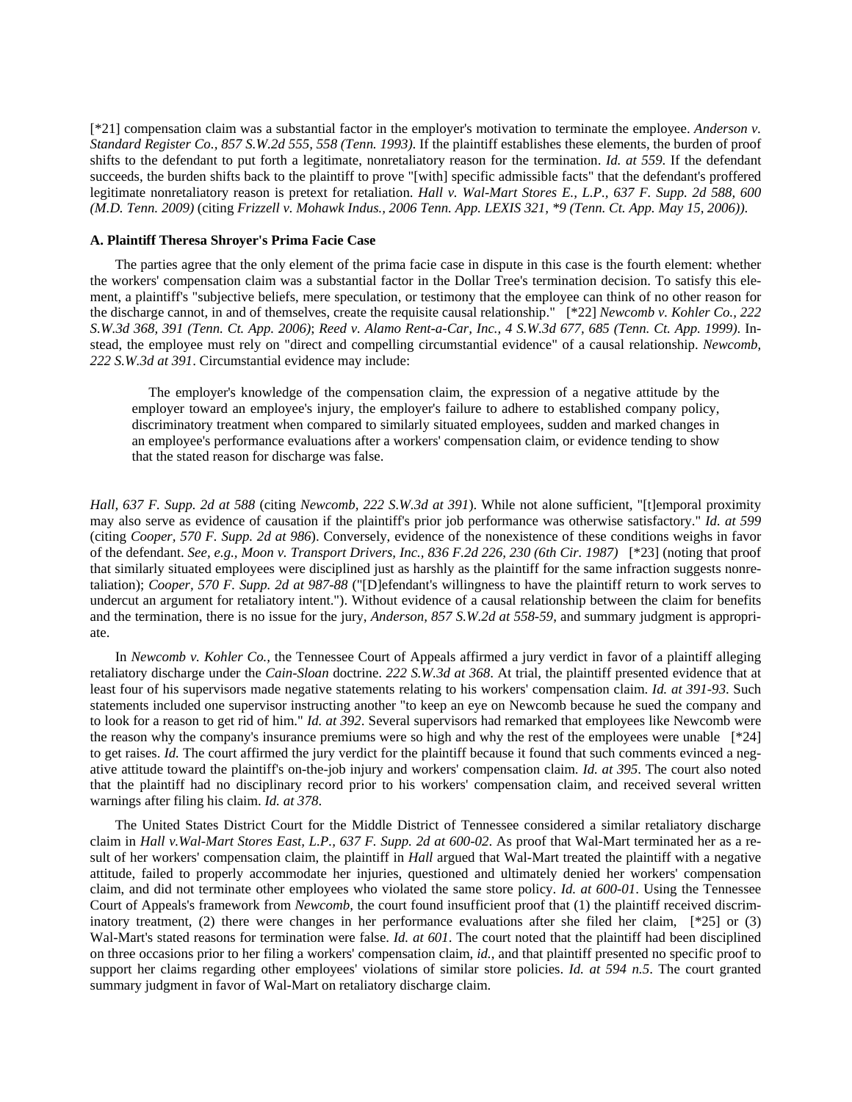[\*21] compensation claim was a substantial factor in the employer's motivation to terminate the employee. *Anderson v. Standard Register Co., 857 S.W.2d 555, 558 (Tenn. 1993)*. If the plaintiff establishes these elements, the burden of proof shifts to the defendant to put forth a legitimate, nonretaliatory reason for the termination. *Id. at 559*. If the defendant succeeds, the burden shifts back to the plaintiff to prove "[with] specific admissible facts" that the defendant's proffered legitimate nonretaliatory reason is pretext for retaliation. *Hall v. Wal-Mart Stores E., L.P., 637 F. Supp. 2d 588, 600 (M.D. Tenn. 2009)* (citing *Frizzell v. Mohawk Indus., 2006 Tenn. App. LEXIS 321, \*9 (Tenn. Ct. App. May 15, 2006))*.

## **A. Plaintiff Theresa Shroyer's Prima Facie Case**

The parties agree that the only element of the prima facie case in dispute in this case is the fourth element: whether the workers' compensation claim was a substantial factor in the Dollar Tree's termination decision. To satisfy this element, a plaintiff's "subjective beliefs, mere speculation, or testimony that the employee can think of no other reason for the discharge cannot, in and of themselves, create the requisite causal relationship." [\*22] *Newcomb v. Kohler Co., 222 S.W.3d 368, 391 (Tenn. Ct. App. 2006)*; *Reed v. Alamo Rent-a-Car, Inc., 4 S.W.3d 677, 685 (Tenn. Ct. App. 1999)*. Instead, the employee must rely on "direct and compelling circumstantial evidence" of a causal relationship. *Newcomb, 222 S.W.3d at 391*. Circumstantial evidence may include:

 The employer's knowledge of the compensation claim, the expression of a negative attitude by the employer toward an employee's injury, the employer's failure to adhere to established company policy, discriminatory treatment when compared to similarly situated employees, sudden and marked changes in an employee's performance evaluations after a workers' compensation claim, or evidence tending to show that the stated reason for discharge was false.

*Hall, 637 F. Supp. 2d at 588* (citing *Newcomb, 222 S.W.3d at 391*). While not alone sufficient, "[t]emporal proximity may also serve as evidence of causation if the plaintiff's prior job performance was otherwise satisfactory." *Id. at 599* (citing *Cooper, 570 F. Supp. 2d at 986*). Conversely, evidence of the nonexistence of these conditions weighs in favor of the defendant. *See, e.g., Moon v. Transport Drivers, Inc., 836 F.2d 226, 230 (6th Cir. 1987)* [\*23] (noting that proof that similarly situated employees were disciplined just as harshly as the plaintiff for the same infraction suggests nonretaliation); *Cooper, 570 F. Supp. 2d at 987-88* ("[D]efendant's willingness to have the plaintiff return to work serves to undercut an argument for retaliatory intent."). Without evidence of a causal relationship between the claim for benefits and the termination, there is no issue for the jury, *Anderson, 857 S.W.2d at 558-59*, and summary judgment is appropriate.

In *Newcomb v. Kohler Co.,* the Tennessee Court of Appeals affirmed a jury verdict in favor of a plaintiff alleging retaliatory discharge under the *Cain-Sloan* doctrine. *222 S.W.3d at 368*. At trial, the plaintiff presented evidence that at least four of his supervisors made negative statements relating to his workers' compensation claim. *Id. at 391-93*. Such statements included one supervisor instructing another "to keep an eye on Newcomb because he sued the company and to look for a reason to get rid of him." *Id. at 392*. Several supervisors had remarked that employees like Newcomb were the reason why the company's insurance premiums were so high and why the rest of the employees were unable [\*24] to get raises. *Id.* The court affirmed the jury verdict for the plaintiff because it found that such comments evinced a negative attitude toward the plaintiff's on-the-job injury and workers' compensation claim. *Id. at 395*. The court also noted that the plaintiff had no disciplinary record prior to his workers' compensation claim, and received several written warnings after filing his claim. *Id. at 378*.

The United States District Court for the Middle District of Tennessee considered a similar retaliatory discharge claim in *Hall v.Wal-Mart Stores East, L.P., 637 F. Supp. 2d at 600-02*. As proof that Wal-Mart terminated her as a result of her workers' compensation claim, the plaintiff in *Hall* argued that Wal-Mart treated the plaintiff with a negative attitude, failed to properly accommodate her injuries, questioned and ultimately denied her workers' compensation claim, and did not terminate other employees who violated the same store policy. *Id. at 600-01*. Using the Tennessee Court of Appeals's framework from *Newcomb,* the court found insufficient proof that (1) the plaintiff received discriminatory treatment, (2) there were changes in her performance evaluations after she filed her claim, [\*25] or (3) Wal-Mart's stated reasons for termination were false. *Id. at 601*. The court noted that the plaintiff had been disciplined on three occasions prior to her filing a workers' compensation claim, *id.,* and that plaintiff presented no specific proof to support her claims regarding other employees' violations of similar store policies. *Id. at 594 n.5*. The court granted summary judgment in favor of Wal-Mart on retaliatory discharge claim.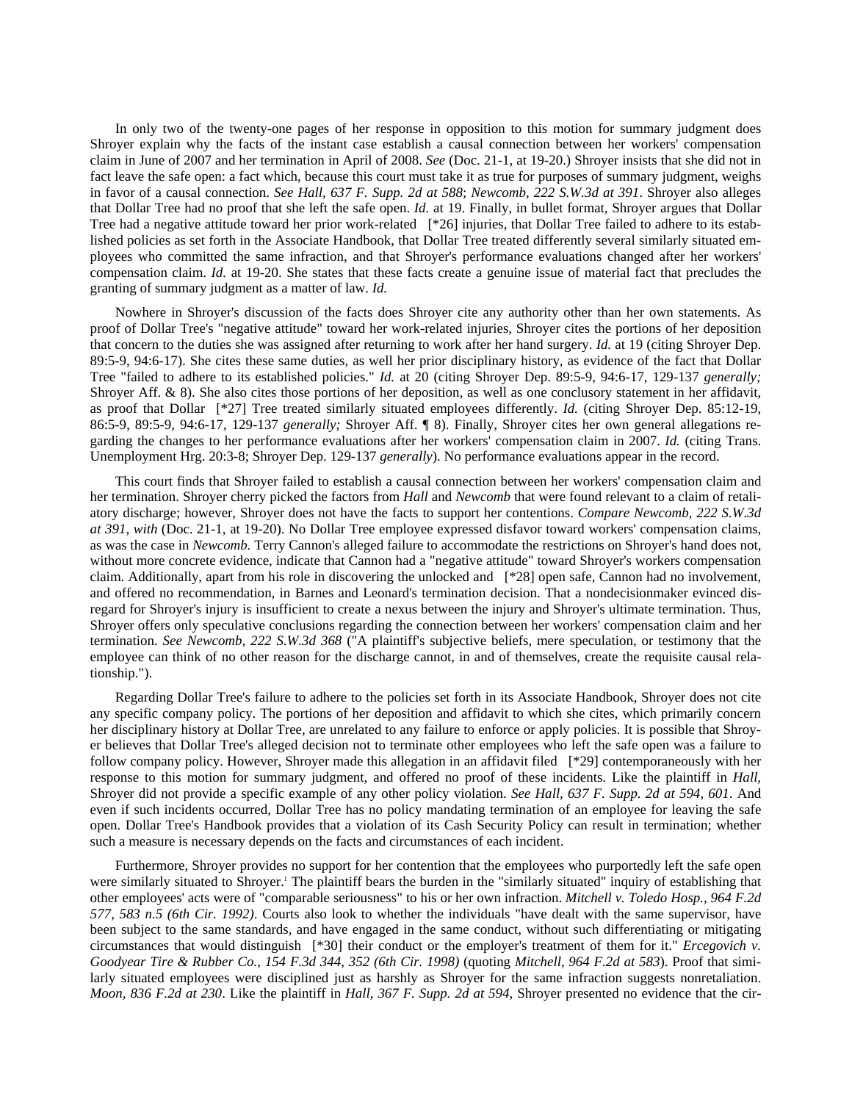In only two of the twenty-one pages of her response in opposition to this motion for summary judgment does Shroyer explain why the facts of the instant case establish a causal connection between her workers' compensation claim in June of 2007 and her termination in April of 2008. *See* (Doc. 21-1, at 19-20.) Shroyer insists that she did not in fact leave the safe open: a fact which, because this court must take it as true for purposes of summary judgment, weighs in favor of a causal connection. *See Hall, 637 F. Supp. 2d at 588*; *Newcomb, 222 S.W.3d at 391*. Shroyer also alleges that Dollar Tree had no proof that she left the safe open. *Id.* at 19. Finally, in bullet format, Shroyer argues that Dollar Tree had a negative attitude toward her prior work-related [\*26] injuries, that Dollar Tree failed to adhere to its established policies as set forth in the Associate Handbook, that Dollar Tree treated differently several similarly situated employees who committed the same infraction, and that Shroyer's performance evaluations changed after her workers' compensation claim. *Id.* at 19-20. She states that these facts create a genuine issue of material fact that precludes the granting of summary judgment as a matter of law. *Id.*

Nowhere in Shroyer's discussion of the facts does Shroyer cite any authority other than her own statements. As proof of Dollar Tree's "negative attitude" toward her work-related injuries, Shroyer cites the portions of her deposition that concern to the duties she was assigned after returning to work after her hand surgery. *Id.* at 19 (citing Shroyer Dep. 89:5-9, 94:6-17). She cites these same duties, as well her prior disciplinary history, as evidence of the fact that Dollar Tree "failed to adhere to its established policies." *Id.* at 20 (citing Shroyer Dep. 89:5-9, 94:6-17, 129-137 *generally;* Shroyer Aff. & 8). She also cites those portions of her deposition, as well as one conclusory statement in her affidavit, as proof that Dollar [\*27] Tree treated similarly situated employees differently. *Id.* (citing Shroyer Dep. 85:12-19, 86:5-9, 89:5-9, 94:6-17, 129-137 *generally;* Shroyer Aff. ¶ 8). Finally, Shroyer cites her own general allegations regarding the changes to her performance evaluations after her workers' compensation claim in 2007. *Id.* (citing Trans. Unemployment Hrg. 20:3-8; Shroyer Dep. 129-137 *generally*). No performance evaluations appear in the record.

This court finds that Shroyer failed to establish a causal connection between her workers' compensation claim and her termination. Shroyer cherry picked the factors from *Hall* and *Newcomb* that were found relevant to a claim of retaliatory discharge; however, Shroyer does not have the facts to support her contentions. *Compare Newcomb, 222 S.W.3d at 391*, *with* (Doc. 21-1, at 19-20). No Dollar Tree employee expressed disfavor toward workers' compensation claims, as was the case in *Newcomb.* Terry Cannon's alleged failure to accommodate the restrictions on Shroyer's hand does not, without more concrete evidence, indicate that Cannon had a "negative attitude" toward Shroyer's workers compensation claim. Additionally, apart from his role in discovering the unlocked and [\*28] open safe, Cannon had no involvement, and offered no recommendation, in Barnes and Leonard's termination decision. That a nondecisionmaker evinced disregard for Shroyer's injury is insufficient to create a nexus between the injury and Shroyer's ultimate termination. Thus, Shroyer offers only speculative conclusions regarding the connection between her workers' compensation claim and her termination. *See Newcomb, 222 S.W.3d 368* ("A plaintiff's subjective beliefs, mere speculation, or testimony that the employee can think of no other reason for the discharge cannot, in and of themselves, create the requisite causal relationship.").

Regarding Dollar Tree's failure to adhere to the policies set forth in its Associate Handbook, Shroyer does not cite any specific company policy. The portions of her deposition and affidavit to which she cites, which primarily concern her disciplinary history at Dollar Tree, are unrelated to any failure to enforce or apply policies. It is possible that Shroyer believes that Dollar Tree's alleged decision not to terminate other employees who left the safe open was a failure to follow company policy. However, Shroyer made this allegation in an affidavit filed [\*29] contemporaneously with her response to this motion for summary judgment, and offered no proof of these incidents. Like the plaintiff in *Hall,* Shroyer did not provide a specific example of any other policy violation. *See Hall, 637 F. Supp. 2d at 594, 601*. And even if such incidents occurred, Dollar Tree has no policy mandating termination of an employee for leaving the safe open. Dollar Tree's Handbook provides that a violation of its Cash Security Policy can result in termination; whether such a measure is necessary depends on the facts and circumstances of each incident.

Furthermore, Shroyer provides no support for her contention that the employees who purportedly left the safe open were similarly situated to Shroyer.<sup>1</sup> The plaintiff bears the burden in the "similarly situated" inquiry of establishing that other employees' acts were of "comparable seriousness" to his or her own infraction. *Mitchell v. Toledo Hosp., 964 F.2d 577, 583 n.5 (6th Cir. 1992)*. Courts also look to whether the individuals "have dealt with the same supervisor, have been subject to the same standards, and have engaged in the same conduct, without such differentiating or mitigating circumstances that would distinguish [\*30] their conduct or the employer's treatment of them for it." *Ercegovich v. Goodyear Tire & Rubber Co., 154 F.3d 344, 352 (6th Cir. 1998)* (quoting *Mitchell, 964 F.2d at 583*). Proof that similarly situated employees were disciplined just as harshly as Shroyer for the same infraction suggests nonretaliation. *Moon, 836 F.2d at 230*. Like the plaintiff in *Hall, 367 F. Supp. 2d at 594*, Shroyer presented no evidence that the cir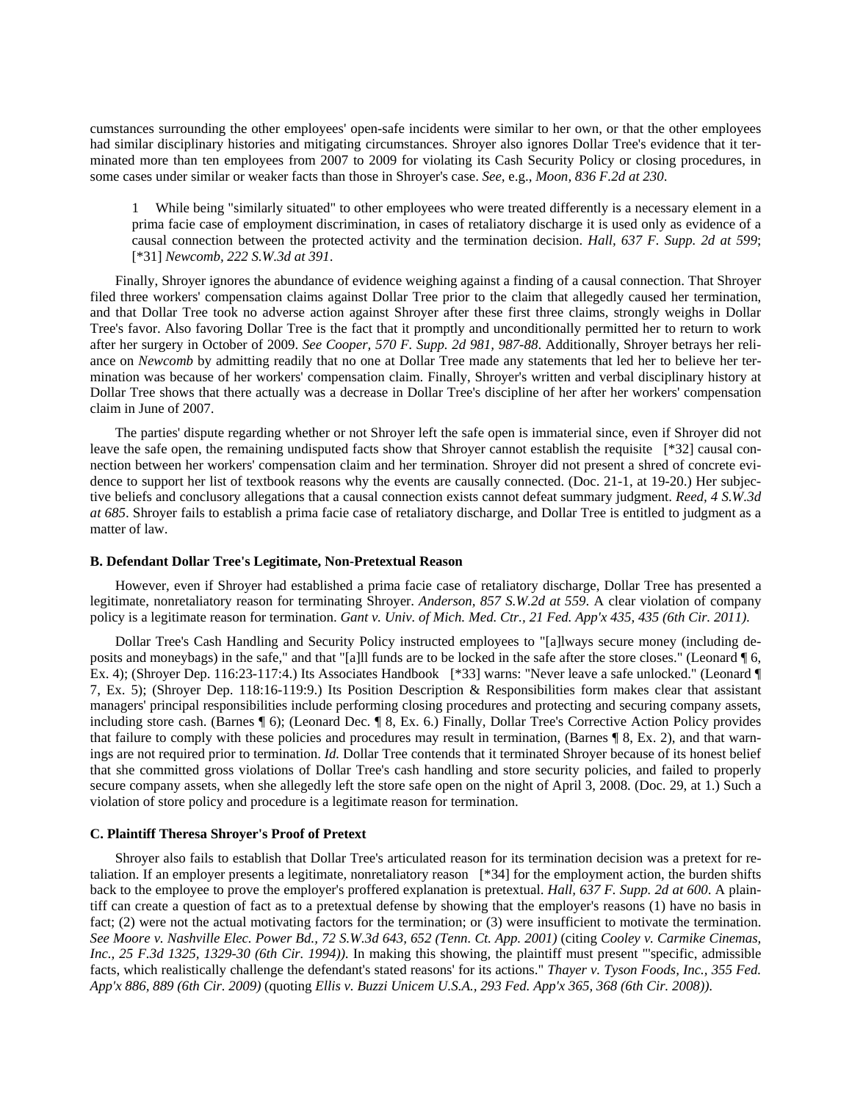cumstances surrounding the other employees' open-safe incidents were similar to her own, or that the other employees had similar disciplinary histories and mitigating circumstances. Shroyer also ignores Dollar Tree's evidence that it terminated more than ten employees from 2007 to 2009 for violating its Cash Security Policy or closing procedures, in some cases under similar or weaker facts than those in Shroyer's case. *See,* e.g., *Moon, 836 F.2d at 230*.

While being "similarly situated" to other employees who were treated differently is a necessary element in a prima facie case of employment discrimination, in cases of retaliatory discharge it is used only as evidence of a causal connection between the protected activity and the termination decision. *Hall, 637 F. Supp. 2d at 599*; [\*31] *Newcomb, 222 S.W.3d at 391*.

Finally, Shroyer ignores the abundance of evidence weighing against a finding of a causal connection. That Shroyer filed three workers' compensation claims against Dollar Tree prior to the claim that allegedly caused her termination, and that Dollar Tree took no adverse action against Shroyer after these first three claims, strongly weighs in Dollar Tree's favor. Also favoring Dollar Tree is the fact that it promptly and unconditionally permitted her to return to work after her surgery in October of 2009. *See Cooper, 570 F. Supp. 2d 981, 987-88*. Additionally, Shroyer betrays her reliance on *Newcomb* by admitting readily that no one at Dollar Tree made any statements that led her to believe her termination was because of her workers' compensation claim. Finally, Shroyer's written and verbal disciplinary history at Dollar Tree shows that there actually was a decrease in Dollar Tree's discipline of her after her workers' compensation claim in June of 2007.

The parties' dispute regarding whether or not Shroyer left the safe open is immaterial since, even if Shroyer did not leave the safe open, the remaining undisputed facts show that Shroyer cannot establish the requisite [\*32] causal connection between her workers' compensation claim and her termination. Shroyer did not present a shred of concrete evidence to support her list of textbook reasons why the events are causally connected. (Doc. 21-1, at 19-20.) Her subjective beliefs and conclusory allegations that a causal connection exists cannot defeat summary judgment. *Reed, 4 S.W.3d at 685*. Shroyer fails to establish a prima facie case of retaliatory discharge, and Dollar Tree is entitled to judgment as a matter of law.

## **B. Defendant Dollar Tree's Legitimate, Non-Pretextual Reason**

However, even if Shroyer had established a prima facie case of retaliatory discharge, Dollar Tree has presented a legitimate, nonretaliatory reason for terminating Shroyer. *Anderson, 857 S.W.2d at 559*. A clear violation of company policy is a legitimate reason for termination. *Gant v. Univ. of Mich. Med. Ctr., 21 Fed. App'x 435, 435 (6th Cir. 2011)*.

Dollar Tree's Cash Handling and Security Policy instructed employees to "[a]lways secure money (including deposits and moneybags) in the safe," and that "[a]ll funds are to be locked in the safe after the store closes." (Leonard ¶ 6, Ex. 4); (Shroyer Dep. 116:23-117:4.) Its Associates Handbook [\*33] warns: "Never leave a safe unlocked." (Leonard ¶ 7, Ex. 5); (Shroyer Dep. 118:16-119:9.) Its Position Description & Responsibilities form makes clear that assistant managers' principal responsibilities include performing closing procedures and protecting and securing company assets, including store cash. (Barnes ¶ 6); (Leonard Dec. ¶ 8, Ex. 6.) Finally, Dollar Tree's Corrective Action Policy provides that failure to comply with these policies and procedures may result in termination, (Barnes ¶ 8, Ex. 2), and that warnings are not required prior to termination. *Id.* Dollar Tree contends that it terminated Shroyer because of its honest belief that she committed gross violations of Dollar Tree's cash handling and store security policies, and failed to properly secure company assets, when she allegedly left the store safe open on the night of April 3, 2008. (Doc. 29, at 1.) Such a violation of store policy and procedure is a legitimate reason for termination.

# **C. Plaintiff Theresa Shroyer's Proof of Pretext**

Shroyer also fails to establish that Dollar Tree's articulated reason for its termination decision was a pretext for retaliation. If an employer presents a legitimate, nonretaliatory reason [\*34] for the employment action, the burden shifts back to the employee to prove the employer's proffered explanation is pretextual. *Hall, 637 F. Supp. 2d at 600*. A plaintiff can create a question of fact as to a pretextual defense by showing that the employer's reasons (1) have no basis in fact; (2) were not the actual motivating factors for the termination; or (3) were insufficient to motivate the termination. *See Moore v. Nashville Elec. Power Bd., 72 S.W.3d 643, 652 (Tenn. Ct. App. 2001)* (citing *Cooley v. Carmike Cinemas, Inc., 25 F.3d 1325, 1329-30 (6th Cir. 1994))*. In making this showing, the plaintiff must present "'specific, admissible facts, which realistically challenge the defendant's stated reasons' for its actions." *Thayer v. Tyson Foods, Inc., 355 Fed. App'x 886, 889 (6th Cir. 2009)* (quoting *Ellis v. Buzzi Unicem U.S.A., 293 Fed. App'x 365, 368 (6th Cir. 2008))*.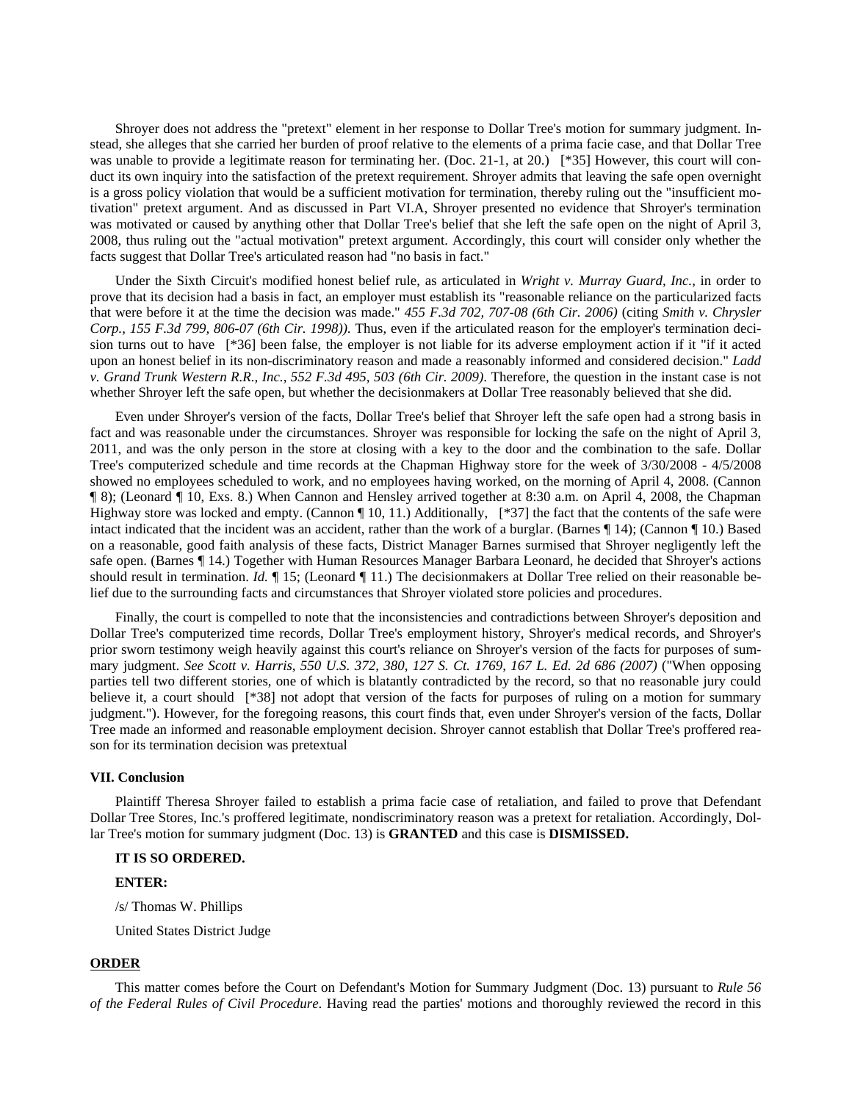Shroyer does not address the "pretext" element in her response to Dollar Tree's motion for summary judgment. Instead, she alleges that she carried her burden of proof relative to the elements of a prima facie case, and that Dollar Tree was unable to provide a legitimate reason for terminating her. (Doc. 21-1, at 20.) [\*35] However, this court will conduct its own inquiry into the satisfaction of the pretext requirement. Shroyer admits that leaving the safe open overnight is a gross policy violation that would be a sufficient motivation for termination, thereby ruling out the "insufficient motivation" pretext argument. And as discussed in Part VI.A, Shroyer presented no evidence that Shroyer's termination was motivated or caused by anything other that Dollar Tree's belief that she left the safe open on the night of April 3, 2008, thus ruling out the "actual motivation" pretext argument. Accordingly, this court will consider only whether the facts suggest that Dollar Tree's articulated reason had "no basis in fact."

Under the Sixth Circuit's modified honest belief rule, as articulated in *Wright v. Murray Guard, Inc.,* in order to prove that its decision had a basis in fact, an employer must establish its "reasonable reliance on the particularized facts that were before it at the time the decision was made." *455 F.3d 702, 707-08 (6th Cir. 2006)* (citing *Smith v. Chrysler Corp., 155 F.3d 799, 806-07 (6th Cir. 1998))*. Thus, even if the articulated reason for the employer's termination decision turns out to have [\*36] been false, the employer is not liable for its adverse employment action if it "if it acted upon an honest belief in its non-discriminatory reason and made a reasonably informed and considered decision." *Ladd v. Grand Trunk Western R.R., Inc., 552 F.3d 495, 503 (6th Cir. 2009)*. Therefore, the question in the instant case is not whether Shroyer left the safe open, but whether the decisionmakers at Dollar Tree reasonably believed that she did.

Even under Shroyer's version of the facts, Dollar Tree's belief that Shroyer left the safe open had a strong basis in fact and was reasonable under the circumstances. Shroyer was responsible for locking the safe on the night of April 3, 2011, and was the only person in the store at closing with a key to the door and the combination to the safe. Dollar Tree's computerized schedule and time records at the Chapman Highway store for the week of 3/30/2008 - 4/5/2008 showed no employees scheduled to work, and no employees having worked, on the morning of April 4, 2008. (Cannon ¶ 8); (Leonard ¶ 10, Exs. 8.) When Cannon and Hensley arrived together at 8:30 a.m. on April 4, 2008, the Chapman Highway store was locked and empty. (Cannon  $\P$  10, 11.) Additionally, [\*37] the fact that the contents of the safe were intact indicated that the incident was an accident, rather than the work of a burglar. (Barnes ¶ 14); (Cannon ¶ 10.) Based on a reasonable, good faith analysis of these facts, District Manager Barnes surmised that Shroyer negligently left the safe open. (Barnes ¶ 14.) Together with Human Resources Manager Barbara Leonard, he decided that Shroyer's actions should result in termination. *Id.* ¶ 15; (Leonard ¶ 11.) The decisionmakers at Dollar Tree relied on their reasonable belief due to the surrounding facts and circumstances that Shroyer violated store policies and procedures.

Finally, the court is compelled to note that the inconsistencies and contradictions between Shroyer's deposition and Dollar Tree's computerized time records, Dollar Tree's employment history, Shroyer's medical records, and Shroyer's prior sworn testimony weigh heavily against this court's reliance on Shroyer's version of the facts for purposes of summary judgment. *See Scott v. Harris, 550 U.S. 372, 380, 127 S. Ct. 1769, 167 L. Ed. 2d 686 (2007)* ("When opposing parties tell two different stories, one of which is blatantly contradicted by the record, so that no reasonable jury could believe it, a court should [\*38] not adopt that version of the facts for purposes of ruling on a motion for summary judgment."). However, for the foregoing reasons, this court finds that, even under Shroyer's version of the facts, Dollar Tree made an informed and reasonable employment decision. Shroyer cannot establish that Dollar Tree's proffered reason for its termination decision was pretextual

### **VII. Conclusion**

Plaintiff Theresa Shroyer failed to establish a prima facie case of retaliation, and failed to prove that Defendant Dollar Tree Stores, Inc.'s proffered legitimate, nondiscriminatory reason was a pretext for retaliation. Accordingly, Dollar Tree's motion for summary judgment (Doc. 13) is **GRANTED** and this case is **DISMISSED.**

## **IT IS SO ORDERED.**

### **ENTER:**

/s/ Thomas W. Phillips

United States District Judge

# **ORDER**

This matter comes before the Court on Defendant's Motion for Summary Judgment (Doc. 13) pursuant to *Rule 56 of the Federal Rules of Civil Procedure*. Having read the parties' motions and thoroughly reviewed the record in this